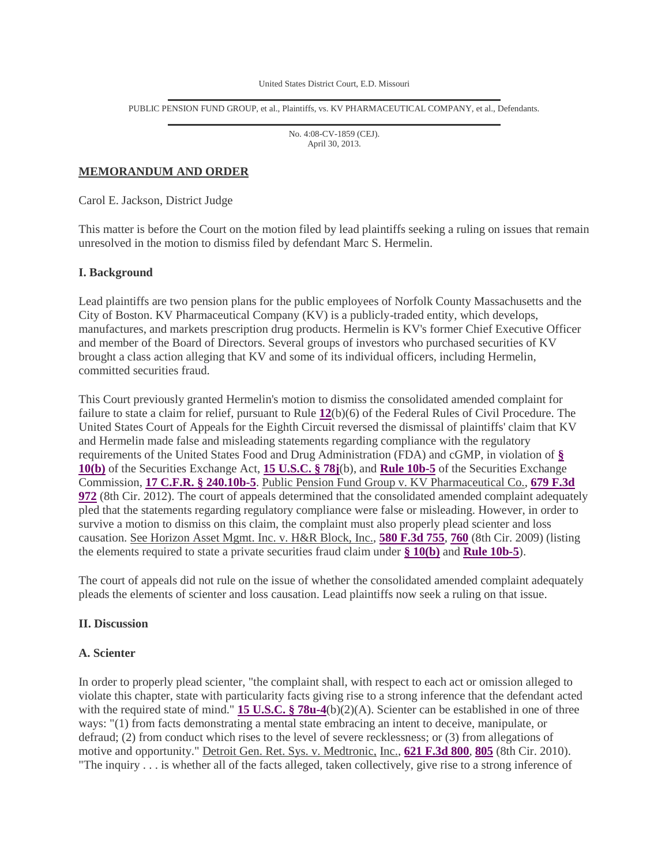United States District Court, E.D. Missouri

PUBLIC PENSION FUND GROUP, et al., Plaintiffs, vs. KV PHARMACEUTICAL COMPANY, et al., Defendants.

No. 4:08-CV-1859 (CEJ). April 30, 2013.

# **MEMORANDUM AND ORDER**

Carol E. Jackson, District Judge

This matter is before the Court on the motion filed by lead plaintiffs seeking a ruling on issues that remain unresolved in the motion to dismiss filed by defendant Marc S. Hermelin.

# **I. Background**

Lead plaintiffs are two pension plans for the public employees of Norfolk County Massachusetts and the City of Boston. KV Pharmaceutical Company (KV) is a publicly-traded entity, which develops, manufactures, and markets prescription drug products. Hermelin is KV's former Chief Executive Officer and member of the Board of Directors. Several groups of investors who purchased securities of KV brought a class action alleging that KV and some of its individual officers, including Hermelin, committed securities fraud.

This Court previously granted Hermelin's motion to dismiss the consolidated amended complaint for failure to state a claim for relief, pursuant to Rule **12**(b)(6) of the Federal Rules of Civil Procedure. The United States Court of Appeals for the Eighth Circuit reversed the dismissal of plaintiffs' claim that KV and Hermelin made false and misleading statements regarding compliance with the regulatory requirements of the United States Food and Drug Administration (FDA) and cGMP, in violation of **§ 10(b)** of the Securities Exchange Act, **15 U.S.C. § 78j**(b), and **Rule 10b-5** of the Securities Exchange Commission, **17 C.F.R. § 240.10b-5**. Public Pension Fund Group v. KV Pharmaceutical Co., **679 F.3d 972** (8th Cir. 2012). The court of appeals determined that the consolidated amended complaint adequately pled that the statements regarding regulatory compliance were false or misleading. However, in order to survive a motion to dismiss on this claim, the complaint must also properly plead scienter and loss causation. See Horizon Asset Mgmt. Inc. v. H&R Block, Inc., **580 F.3d 755**, **760** (8th Cir. 2009) (listing the elements required to state a private securities fraud claim under **§ 10(b)** and **Rule 10b-5**).

The court of appeals did not rule on the issue of whether the consolidated amended complaint adequately pleads the elements of scienter and loss causation. Lead plaintiffs now seek a ruling on that issue.

### **II. Discussion**

#### **A. Scienter**

In order to properly plead scienter, "the complaint shall, with respect to each act or omission alleged to violate this chapter, state with particularity facts giving rise to a strong inference that the defendant acted with the required state of mind." **15 U.S.C. § 78u-4**(b)(2)(A). Scienter can be established in one of three ways: "(1) from facts demonstrating a mental state embracing an intent to deceive, manipulate, or defraud; (2) from conduct which rises to the level of severe recklessness; or (3) from allegations of motive and opportunity." Detroit Gen. Ret. Sys. v. Medtronic, Inc., **621 F.3d 800**, **805** (8th Cir. 2010). "The inquiry . . . is whether all of the facts alleged, taken collectively, give rise to a strong inference of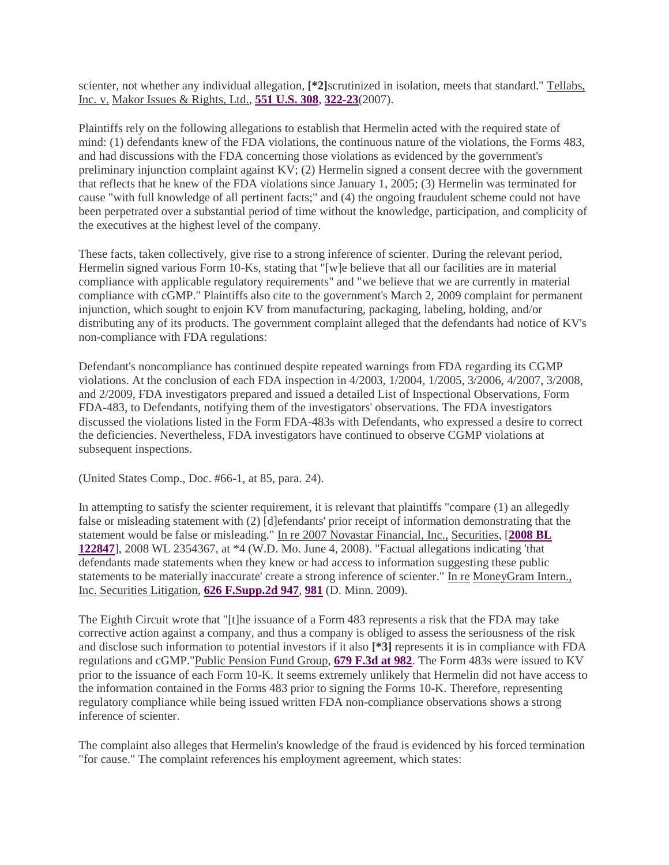scienter, not whether any individual allegation, **[\*2]**scrutinized in isolation, meets that standard." Tellabs, Inc. v. Makor Issues & Rights, Ltd., **551 U.S. 308**, **322-23**(2007).

Plaintiffs rely on the following allegations to establish that Hermelin acted with the required state of mind: (1) defendants knew of the FDA violations, the continuous nature of the violations, the Forms 483, and had discussions with the FDA concerning those violations as evidenced by the government's preliminary injunction complaint against KV; (2) Hermelin signed a consent decree with the government that reflects that he knew of the FDA violations since January 1, 2005; (3) Hermelin was terminated for cause "with full knowledge of all pertinent facts;" and (4) the ongoing fraudulent scheme could not have been perpetrated over a substantial period of time without the knowledge, participation, and complicity of the executives at the highest level of the company.

These facts, taken collectively, give rise to a strong inference of scienter. During the relevant period, Hermelin signed various Form 10-Ks, stating that "[w]e believe that all our facilities are in material compliance with applicable regulatory requirements" and "we believe that we are currently in material compliance with cGMP." Plaintiffs also cite to the government's March 2, 2009 complaint for permanent injunction, which sought to enjoin KV from manufacturing, packaging, labeling, holding, and/or distributing any of its products. The government complaint alleged that the defendants had notice of KV's non-compliance with FDA regulations:

Defendant's noncompliance has continued despite repeated warnings from FDA regarding its CGMP violations. At the conclusion of each FDA inspection in 4/2003, 1/2004, 1/2005, 3/2006, 4/2007, 3/2008, and 2/2009, FDA investigators prepared and issued a detailed List of Inspectional Observations, Form FDA-483, to Defendants, notifying them of the investigators' observations. The FDA investigators discussed the violations listed in the Form FDA-483s with Defendants, who expressed a desire to correct the deficiencies. Nevertheless, FDA investigators have continued to observe CGMP violations at subsequent inspections.

(United States Comp., Doc. #66-1, at 85, para. 24).

In attempting to satisfy the scienter requirement, it is relevant that plaintiffs "compare (1) an allegedly false or misleading statement with (2) [d]efendants' prior receipt of information demonstrating that the statement would be false or misleading." In re 2007 Novastar Financial, Inc., Securities, [**2008 BL 122847**], 2008 WL 2354367, at \*4 (W.D. Mo. June 4, 2008). "Factual allegations indicating 'that defendants made statements when they knew or had access to information suggesting these public statements to be materially inaccurate' create a strong inference of scienter." In re MoneyGram Intern., Inc. Securities Litigation, **626 F.Supp.2d 947**, **981** (D. Minn. 2009).

The Eighth Circuit wrote that "[t]he issuance of a Form 483 represents a risk that the FDA may take corrective action against a company, and thus a company is obliged to assess the seriousness of the risk and disclose such information to potential investors if it also **[\*3]** represents it is in compliance with FDA regulations and cGMP."Public Pension Fund Group, **679 F.3d at 982**. The Form 483s were issued to KV prior to the issuance of each Form 10-K. It seems extremely unlikely that Hermelin did not have access to the information contained in the Forms 483 prior to signing the Forms 10-K. Therefore, representing regulatory compliance while being issued written FDA non-compliance observations shows a strong inference of scienter.

The complaint also alleges that Hermelin's knowledge of the fraud is evidenced by his forced termination "for cause." The complaint references his employment agreement, which states: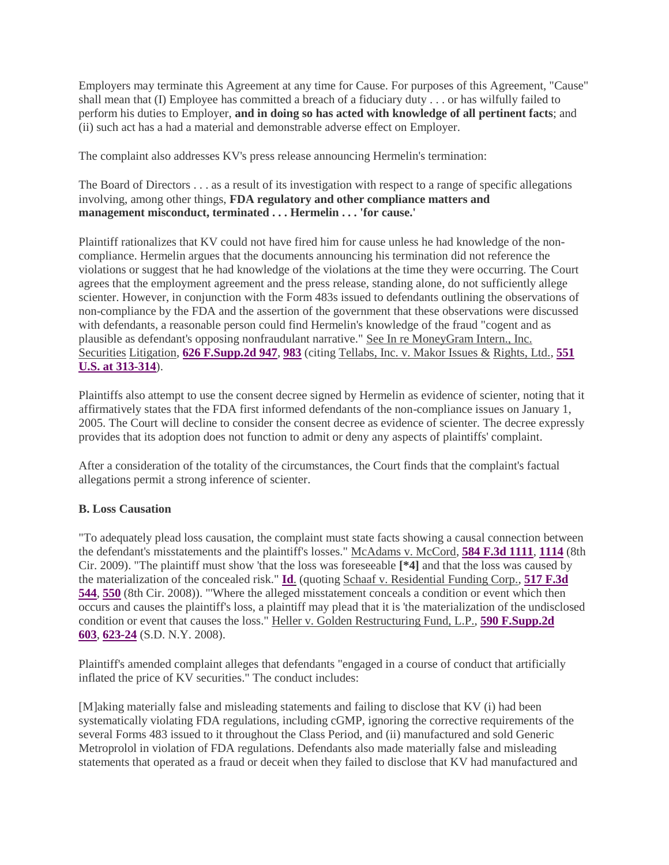Employers may terminate this Agreement at any time for Cause. For purposes of this Agreement, "Cause" shall mean that (I) Employee has committed a breach of a fiduciary duty . . . or has wilfully failed to perform his duties to Employer, **and in doing so has acted with knowledge of all pertinent facts**; and (ii) such act has a had a material and demonstrable adverse effect on Employer.

The complaint also addresses KV's press release announcing Hermelin's termination:

The Board of Directors . . . as a result of its investigation with respect to a range of specific allegations involving, among other things, **FDA regulatory and other compliance matters and management misconduct, terminated . . . Hermelin . . . 'for cause.'**

Plaintiff rationalizes that KV could not have fired him for cause unless he had knowledge of the noncompliance. Hermelin argues that the documents announcing his termination did not reference the violations or suggest that he had knowledge of the violations at the time they were occurring. The Court agrees that the employment agreement and the press release, standing alone, do not sufficiently allege scienter. However, in conjunction with the Form 483s issued to defendants outlining the observations of non-compliance by the FDA and the assertion of the government that these observations were discussed with defendants, a reasonable person could find Hermelin's knowledge of the fraud "cogent and as plausible as defendant's opposing nonfraudulant narrative." See In re MoneyGram Intern., Inc. Securities Litigation, **626 F.Supp.2d 947**, **983** (citing Tellabs, Inc. v. Makor Issues & Rights, Ltd., **551 U.S. at 313-314**).

Plaintiffs also attempt to use the consent decree signed by Hermelin as evidence of scienter, noting that it affirmatively states that the FDA first informed defendants of the non-compliance issues on January 1, 2005. The Court will decline to consider the consent decree as evidence of scienter. The decree expressly provides that its adoption does not function to admit or deny any aspects of plaintiffs' complaint.

After a consideration of the totality of the circumstances, the Court finds that the complaint's factual allegations permit a strong inference of scienter.

# **B. Loss Causation**

"To adequately plead loss causation, the complaint must state facts showing a causal connection between the defendant's misstatements and the plaintiff's losses." McAdams v. McCord, **584 F.3d 1111**, **1114** (8th Cir. 2009). "The plaintiff must show 'that the loss was foreseeable **[\*4]** and that the loss was caused by the materialization of the concealed risk." **Id**. (quoting Schaaf v. Residential Funding Corp., **517 F.3d 544**, **550** (8th Cir. 2008)). "'Where the alleged misstatement conceals a condition or event which then occurs and causes the plaintiff's loss, a plaintiff may plead that it is 'the materialization of the undisclosed condition or event that causes the loss." Heller v. Golden Restructuring Fund, L.P., **590 F.Supp.2d 603**, **623-24** (S.D. N.Y. 2008).

Plaintiff's amended complaint alleges that defendants "engaged in a course of conduct that artificially inflated the price of KV securities." The conduct includes:

[M]aking materially false and misleading statements and failing to disclose that KV (i) had been systematically violating FDA regulations, including cGMP, ignoring the corrective requirements of the several Forms 483 issued to it throughout the Class Period, and (ii) manufactured and sold Generic Metroprolol in violation of FDA regulations. Defendants also made materially false and misleading statements that operated as a fraud or deceit when they failed to disclose that KV had manufactured and